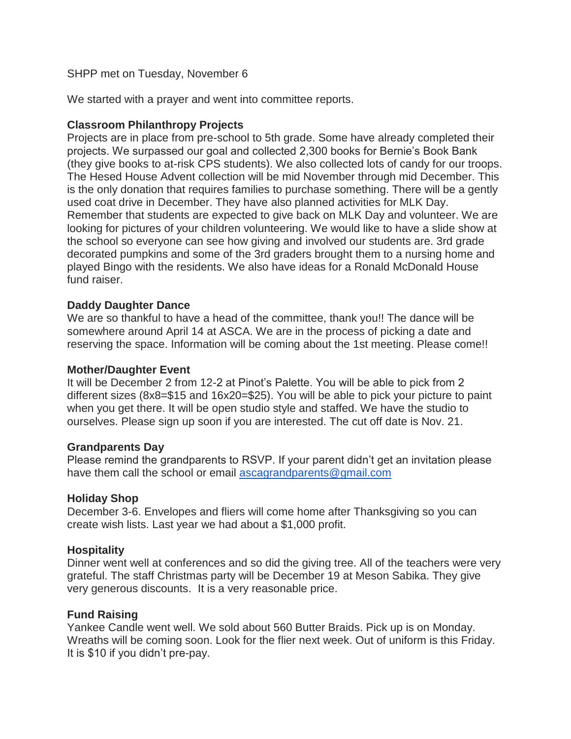## SHPP met on Tuesday, November 6

We started with a prayer and went into committee reports.

# **Classroom Philanthropy Projects**

Projects are in place from pre-school to 5th grade. Some have already completed their projects. We surpassed our goal and collected 2,300 books for Bernie's Book Bank (they give books to at-risk CPS students). We also collected lots of candy for our troops. The Hesed House Advent collection will be mid November through mid December. This is the only donation that requires families to purchase something. There will be a gently used coat drive in December. They have also planned activities for MLK Day. Remember that students are expected to give back on MLK Day and volunteer. We are looking for pictures of your children volunteering. We would like to have a slide show at the school so everyone can see how giving and involved our students are. 3rd grade decorated pumpkins and some of the 3rd graders brought them to a nursing home and played Bingo with the residents. We also have ideas for a Ronald McDonald House fund raiser.

# **Daddy Daughter Dance**

We are so thankful to have a head of the committee, thank you!! The dance will be somewhere around April 14 at ASCA. We are in the process of picking a date and reserving the space. Information will be coming about the 1st meeting. Please come!!

#### **Mother/Daughter Event**

It will be December 2 from 12-2 at Pinot's Palette. You will be able to pick from 2 different sizes (8x8=\$15 and 16x20=\$25). You will be able to pick your picture to paint when you get there. It will be open studio style and staffed. We have the studio to ourselves. Please sign up soon if you are interested. The cut off date is Nov. 21.

#### **Grandparents Day**

Please remind the grandparents to RSVP. If your parent didn't get an invitation please have them call the school or email [ascagrandparents@gmail.com](mailto:ascagrandparents@gmail.com)

#### **Holiday Shop**

December 3-6. Envelopes and fliers will come home after Thanksgiving so you can create wish lists. Last year we had about a \$1,000 profit.

#### **Hospitality**

Dinner went well at conferences and so did the giving tree. All of the teachers were very grateful. The staff Christmas party will be December 19 at Meson Sabika. They give very generous discounts. It is a very reasonable price.

#### **Fund Raising**

Yankee Candle went well. We sold about 560 Butter Braids. Pick up is on Monday. Wreaths will be coming soon. Look for the flier next week. Out of uniform is this Friday. It is \$10 if you didn't pre-pay.